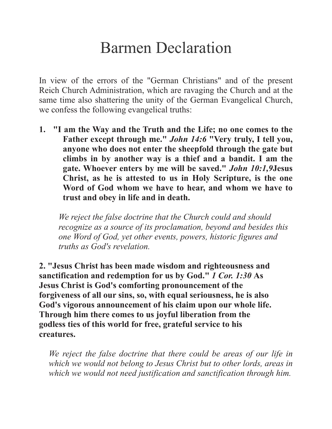## Barmen Declaration

In view of the errors of the "German Christians" and of the present Reich Church Administration, which are ravaging the Church and at the same time also shattering the unity of the German Evangelical Church, we confess the following evangelical truths:

**1. "I am the Way and the Truth and the Life; no one comes to the Father except through me."** *John 14:6* **"Very truly, I tell you, anyone who does not enter the sheepfold through the gate but climbs in by another way is a thief and a bandit. I am the gate. Whoever enters by me will be saved."** *John 10:1,9***Jesus Christ, as he is attested to us in Holy Scripture, is the one Word of God whom we have to hear, and whom we have to trust and obey in life and in death.** 

*We reject the false doctrine that the Church could and should recognize as a source of its proclamation, beyond and besides this one Word of God, yet other events, powers, historic figures and truths as God's revelation.* 

**2. "Jesus Christ has been made wisdom and righteousness and sanctification and redemption for us by God."** *1 Cor. 1:30* **As Jesus Christ is God's comforting pronouncement of the forgiveness of all our sins, so, with equal seriousness, he is also God's vigorous announcement of his claim upon our whole life. Through him there comes to us joyful liberation from the godless ties of this world for free, grateful service to his creatures.** 

*We reject the false doctrine that there could be areas of our life in which we would not belong to Jesus Christ but to other lords, areas in which we would not need justification and sanctification through him.*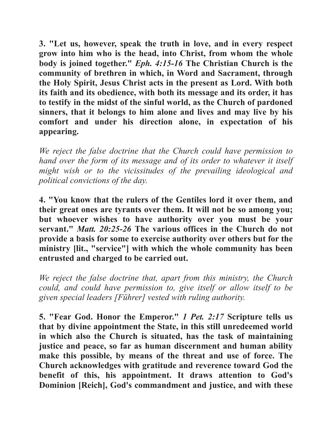**3. "Let us, however, speak the truth in love, and in every respect grow into him who is the head, into Christ, from whom the whole body is joined together."** *Eph. 4:15-16* **The Christian Church is the community of brethren in which, in Word and Sacrament, through the Holy Spirit, Jesus Christ acts in the present as Lord. With both its faith and its obedience, with both its message and its order, it has to testify in the midst of the sinful world, as the Church of pardoned sinners, that it belongs to him alone and lives and may live by his comfort and under his direction alone, in expectation of his appearing.** 

*We reject the false doctrine that the Church could have permission to hand over the form of its message and of its order to whatever it itself might wish or to the vicissitudes of the prevailing ideological and political convictions of the day.* 

**4. "You know that the rulers of the Gentiles lord it over them, and their great ones are tyrants over them. It will not be so among you; but whoever wishes to have authority over you must be your servant."** *Matt. 20:25-26* **The various offices in the Church do not provide a basis for some to exercise authority over others but for the ministry [lit., "service"] with which the whole community has been entrusted and charged to be carried out.** 

*We reject the false doctrine that, apart from this ministry, the Church could, and could have permission to, give itself or allow itself to be given special leaders [Führer] vested with ruling authority.* 

**5. "Fear God. Honor the Emperor."** *1 Pet. 2:17* **Scripture tells us that by divine appointment the State, in this still unredeemed world in which also the Church is situated, has the task of maintaining justice and peace, so far as human discernment and human ability make this possible, by means of the threat and use of force. The Church acknowledges with gratitude and reverence toward God the benefit of this, his appointment. It draws attention to God's Dominion [Reich], God's commandment and justice, and with these**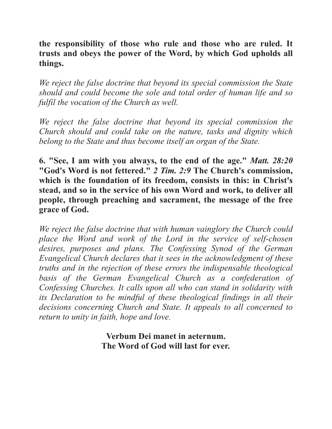**the responsibility of those who rule and those who are ruled. It trusts and obeys the power of the Word, by which God upholds all things.** 

*We reject the false doctrine that beyond its special commission the State should and could become the sole and total order of human life and so fulfil the vocation of the Church as well.* 

*We reject the false doctrine that beyond its special commission the Church should and could take on the nature, tasks and dignity which belong to the State and thus become itself an organ of the State.* 

**6. "See, I am with you always, to the end of the age."** *Matt. 28:20* **"God's Word is not fettered."** *2 Tim. 2:9* **The Church's commission, which is the foundation of its freedom, consists in this: in Christ's stead, and so in the service of his own Word and work, to deliver all people, through preaching and sacrament, the message of the free grace of God.** 

*We reject the false doctrine that with human vainglory the Church could place the Word and work of the Lord in the service of self-chosen desires, purposes and plans. The Confessing Synod of the German Evangelical Church declares that it sees in the acknowledgment of these truths and in the rejection of these errors the indispensable theological*  basis of the German Evangelical Church as a confederation of *Confessing Churches. It calls upon all who can stand in solidarity with its Declaration to be mindful of these theological findings in all their decisions concerning Church and State. It appeals to all concerned to return to unity in faith, hope and love.* 

> **Verbum Dei manet in aeternum. The Word of God will last for ever.**